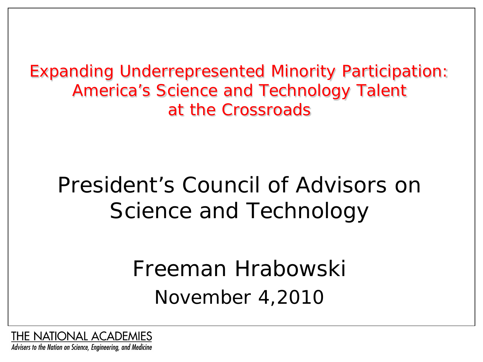Expanding Underrepresented Minority Participation: America's Science and Technology Talent at the Crossroads

### President's Council of Advisors on Science and Technology

Freeman Hrabowski November 4,2010

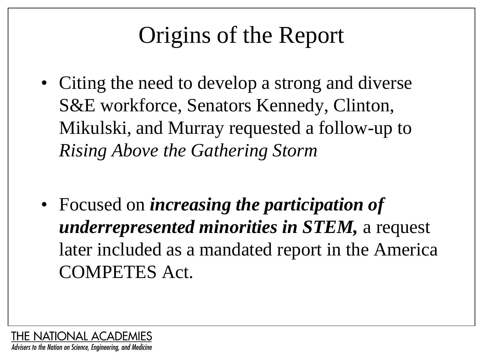### Origins of the Report

- Citing the need to develop a strong and diverse S&E workforce, Senators Kennedy, Clinton, Mikulski, and Murray requested a follow-up to *Rising Above the Gathering Storm*
- Focused on *increasing the participation of underrepresented minorities in STEM,* a request later included as a mandated report in the America COMPETES Act.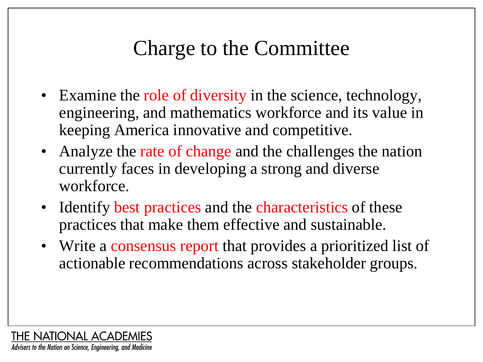#### Charge to the Committee

- Examine the role of diversity in the science, technology, engineering, and mathematics workforce and its value in keeping America innovative and competitive.
- Analyze the rate of change and the challenges the nation currently faces in developing a strong and diverse workforce.
- Identify best practices and the characteristics of these practices that make them effective and sustainable.
- Write a consensus report that provides a prioritized list of actionable recommendations across stakeholder groups.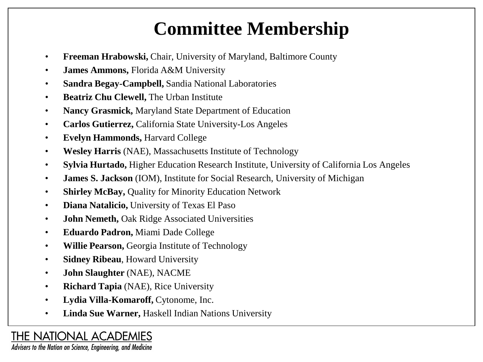#### **Committee Membership**

- **Freeman Hrabowski,** Chair, University of Maryland, Baltimore County
- **James Ammons,** Florida A&M University
- **Sandra Begay-Campbell,** Sandia National Laboratories
- **Beatriz Chu Clewell,** The Urban Institute
- **Nancy Grasmick,** Maryland State Department of Education
- **Carlos Gutierrez,** California State University-Los Angeles
- **Evelyn Hammonds,** Harvard College
- **Wesley Harris** (NAE), Massachusetts Institute of Technology
- **Sylvia Hurtado,** Higher Education Research Institute, University of California Los Angeles
- **James S. Jackson** (IOM), Institute for Social Research, University of Michigan
- **Shirley McBay,** Quality for Minority Education Network
- **Diana Natalicio,** University of Texas El Paso
- **John Nemeth,** Oak Ridge Associated Universities
- **Eduardo Padron,** Miami Dade College
- **Willie Pearson,** Georgia Institute of Technology
- **Sidney Ribeau**, Howard University
- **John Slaughter** (NAE), NACME
- **Richard Tapia** (NAE), Rice University
- **Lydia Villa-Komaroff,** Cytonome, Inc.
- **Linda Sue Warner,** Haskell Indian Nations University

#### **THE NATIONAL ACADEMIES**

Advisers to the Nation on Science, Engineering, and Medicine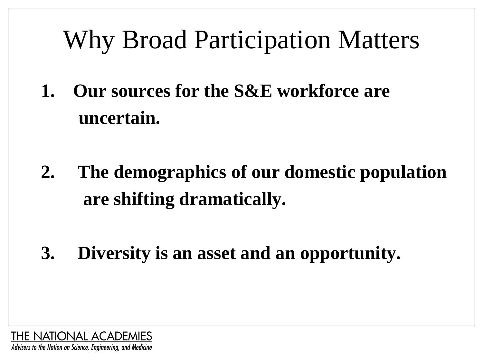# Why Broad Participation Matters

- **1. Our sources for the S&E workforce are uncertain.**
- **2. The demographics of our domestic population are shifting dramatically.**
- **3. Diversity is an asset and an opportunity.**

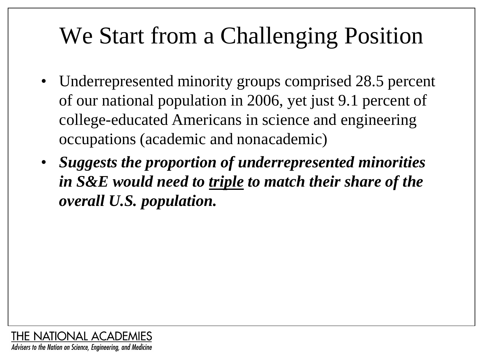### We Start from a Challenging Position

- Underrepresented minority groups comprised 28.5 percent of our national population in 2006, yet just 9.1 percent of college-educated Americans in science and engineering occupations (academic and nonacademic)
- *Suggests the proportion of underrepresented minorities in S&E would need to triple to match their share of the overall U.S. population.*

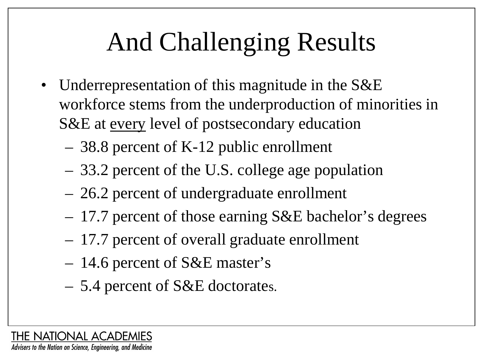# And Challenging Results

- Underrepresentation of this magnitude in the S&E workforce stems from the underproduction of minorities in S&E at every level of postsecondary education
	- 38.8 percent of K-12 public enrollment
	- 33.2 percent of the U.S. college age population
	- 26.2 percent of undergraduate enrollment
	- 17.7 percent of those earning S&E bachelor's degrees
	- 17.7 percent of overall graduate enrollment
	- 14.6 percent of S&E master's
	- 5.4 percent of S&E doctorates.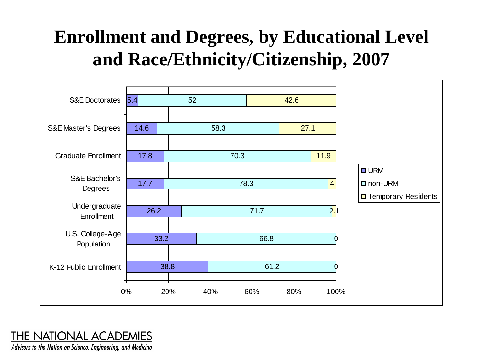#### **Enrollment and Degrees, by Educational Level and Race/Ethnicity/Citizenship, 2007**



#### **THE NATIONAL ACADEMIES**

Advisers to the Nation on Science, Engineering, and Medicine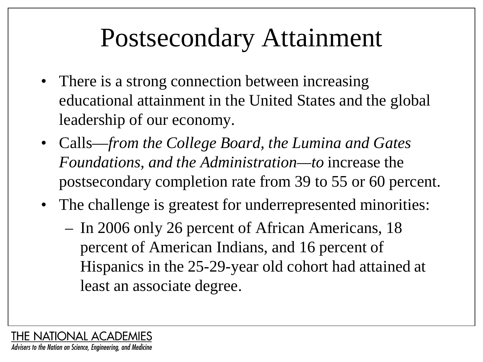## Postsecondary Attainment

- There is a strong connection between increasing educational attainment in the United States and the global leadership of our economy.
- Calls—*from the College Board, the Lumina and Gates Foundations, and the Administration—to* increase the postsecondary completion rate from 39 to 55 or 60 percent.
- The challenge is greatest for underrepresented minorities:
	- In 2006 only 26 percent of African Americans, 18 percent of American Indians, and 16 percent of Hispanics in the 25-29-year old cohort had attained at least an associate degree.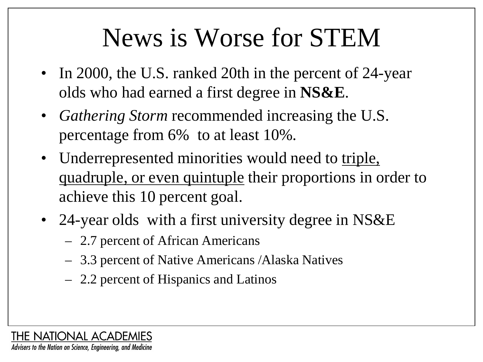# News is Worse for STEM

- In 2000, the U.S. ranked 20th in the percent of 24-year olds who had earned a first degree in **NS&E**.
- *Gathering Storm* recommended increasing the U.S. percentage from 6% to at least 10%.
- Underrepresented minorities would need to triple, quadruple, or even quintuple their proportions in order to achieve this 10 percent goal.
- 24-year olds with a first university degree in NS&E
	- 2.7 percent of African Americans
	- 3.3 percent of Native Americans /Alaska Natives
	- 2.2 percent of Hispanics and Latinos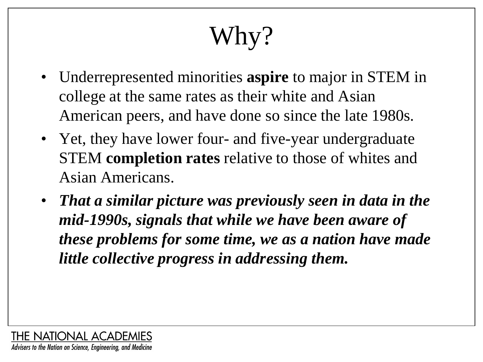# Why?

- Underrepresented minorities **aspire** to major in STEM in college at the same rates as their white and Asian American peers, and have done so since the late 1980s.
- Yet, they have lower four- and five-year undergraduate STEM **completion rates** relative to those of whites and Asian Americans.
- *That a similar picture was previously seen in data in the mid-1990s, signals that while we have been aware of these problems for some time, we as a nation have made little collective progress in addressing them.*

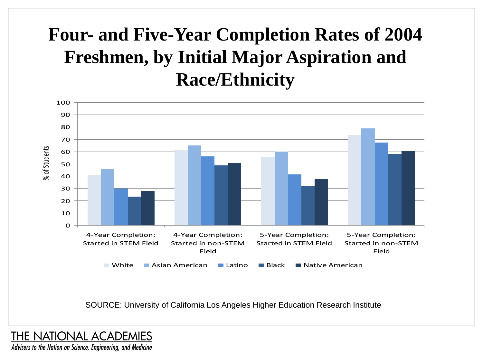#### **Four- and Five-Year Completion Rates of 2004 Freshmen, by Initial Major Aspiration and Race/Ethnicity**



SOURCE: University of California Los Angeles Higher Education Research Institute

**THE NATIONAL ACADEMIES** 

Advisers to the Nation on Science, Engineering, and Medicine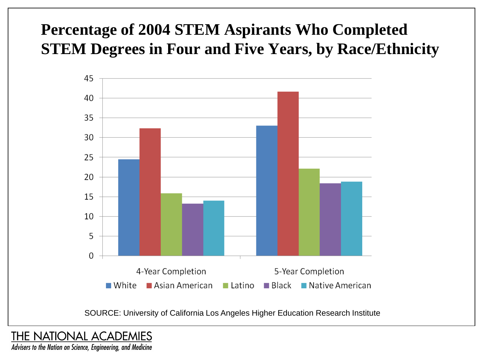#### **Percentage of 2004 STEM Aspirants Who Completed STEM Degrees in Four and Five Years, by Race/Ethnicity**



SOURCE: University of California Los Angeles Higher Education Research Institute

**THE NATIONAL ACADEMIES** 

Advisers to the Nation on Science, Engineering, and Medicine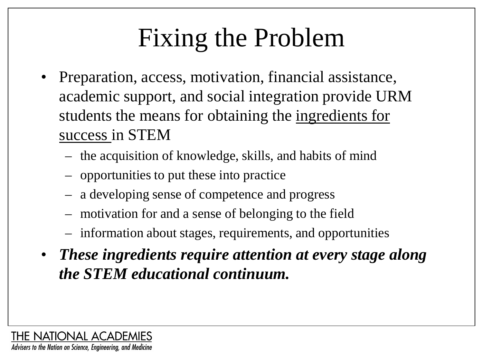# Fixing the Problem

- Preparation, access, motivation, financial assistance, academic support, and social integration provide URM students the means for obtaining the ingredients for success in STEM
	- the acquisition of knowledge, skills, and habits of mind
	- opportunities to put these into practice
	- a developing sense of competence and progress
	- motivation for and a sense of belonging to the field
	- information about stages, requirements, and opportunities
- *These ingredients require attention at every stage along the STEM educational continuum.*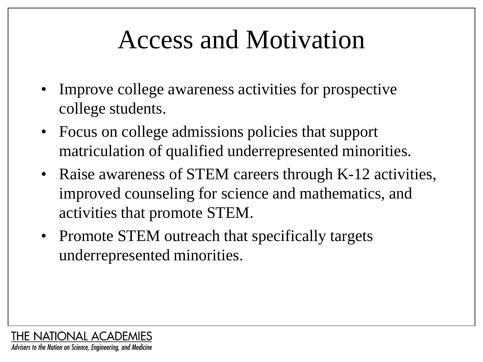# Access and Motivation

- Improve college awareness activities for prospective college students.
- Focus on college admissions policies that support matriculation of qualified underrepresented minorities.
- Raise awareness of STEM careers through K-12 activities, improved counseling for science and mathematics, and activities that promote STEM.
- Promote STEM outreach that specifically targets underrepresented minorities.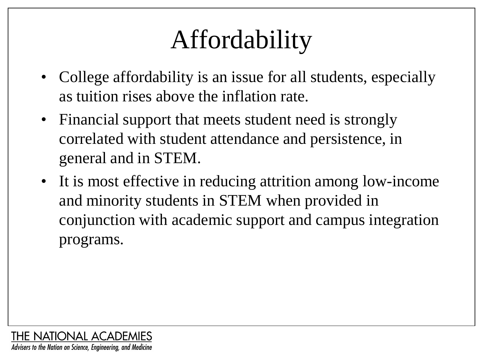# Affordability

- College affordability is an issue for all students, especially as tuition rises above the inflation rate.
- Financial support that meets student need is strongly correlated with student attendance and persistence, in general and in STEM.
- It is most effective in reducing attrition among low-income and minority students in STEM when provided in conjunction with academic support and campus integration programs.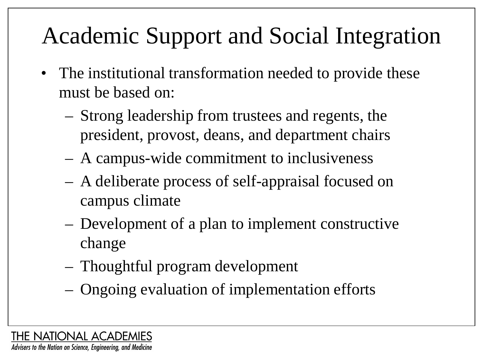## Academic Support and Social Integration

- The institutional transformation needed to provide these must be based on:
	- Strong leadership from trustees and regents, the president, provost, deans, and department chairs
	- A campus-wide commitment to inclusiveness
	- A deliberate process of self-appraisal focused on campus climate
	- Development of a plan to implement constructive change
	- Thoughtful program development
	- Ongoing evaluation of implementation efforts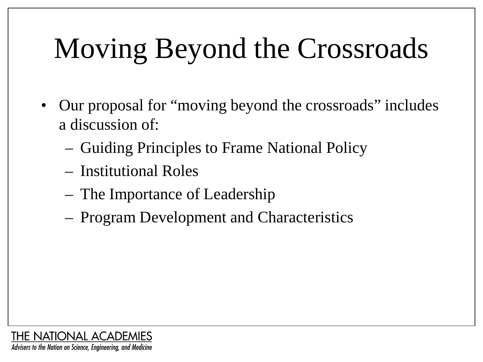# Moving Beyond the Crossroads

- Our proposal for "moving beyond the crossroads" includes a discussion of:
	- Guiding Principles to Frame National Policy
	- Institutional Roles
	- The Importance of Leadership
	- Program Development and Characteristics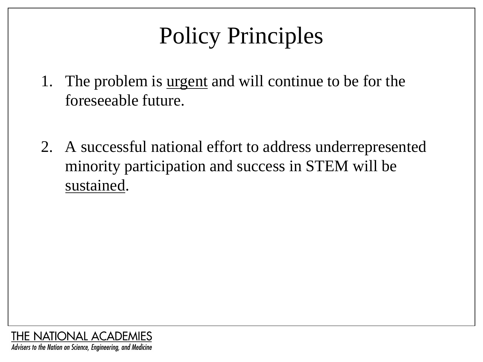## Policy Principles

- 1. The problem is urgent and will continue to be for the foreseeable future.
- 2. A successful national effort to address underrepresented minority participation and success in STEM will be sustained.

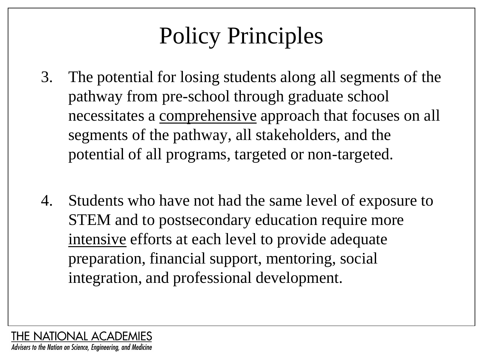## Policy Principles

- 3. The potential for losing students along all segments of the pathway from pre-school through graduate school necessitates a comprehensive approach that focuses on all segments of the pathway, all stakeholders, and the potential of all programs, targeted or non-targeted.
- 4. Students who have not had the same level of exposure to STEM and to postsecondary education require more intensive efforts at each level to provide adequate preparation, financial support, mentoring, social integration, and professional development.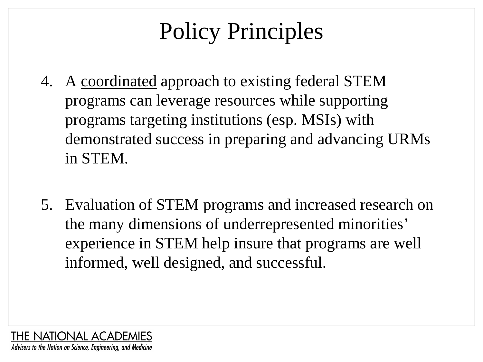## Policy Principles

- 4. A coordinated approach to existing federal STEM programs can leverage resources while supporting programs targeting institutions (esp. MSIs) with demonstrated success in preparing and advancing URMs in STEM.
- 5. Evaluation of STEM programs and increased research on the many dimensions of underrepresented minorities' experience in STEM help insure that programs are well informed, well designed, and successful.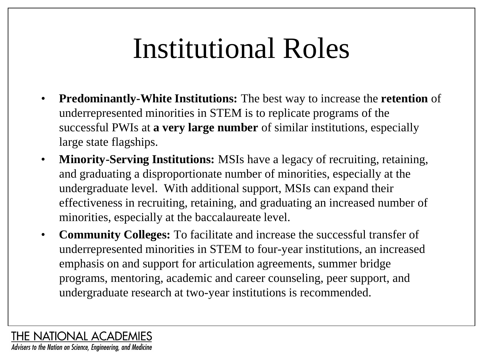# Institutional Roles

- **Predominantly-White Institutions:** The best way to increase the **retention** of underrepresented minorities in STEM is to replicate programs of the successful PWIs at **a very large number** of similar institutions, especially large state flagships.
- **Minority-Serving Institutions:** MSIs have a legacy of recruiting, retaining, and graduating a disproportionate number of minorities, especially at the undergraduate level. With additional support, MSIs can expand their effectiveness in recruiting, retaining, and graduating an increased number of minorities, especially at the baccalaureate level.
- **Community Colleges:** To facilitate and increase the successful transfer of underrepresented minorities in STEM to four-year institutions, an increased emphasis on and support for articulation agreements, summer bridge programs, mentoring, academic and career counseling, peer support, and undergraduate research at two-year institutions is recommended.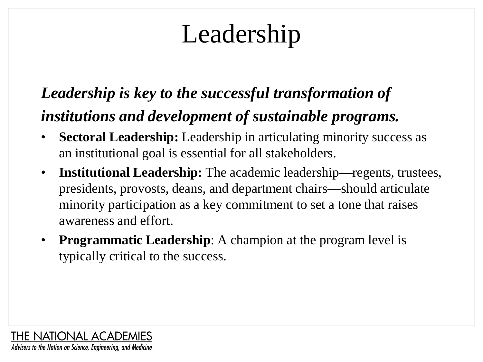# Leadership

#### *Leadership is key to the successful transformation of institutions and development of sustainable programs.*

- **Sectoral Leadership:** Leadership in articulating minority success as an institutional goal is essential for all stakeholders.
- **Institutional Leadership:** The academic leadership—regents, trustees, presidents, provosts, deans, and department chairs—should articulate minority participation as a key commitment to set a tone that raises awareness and effort.
- **Programmatic Leadership**: A champion at the program level is typically critical to the success.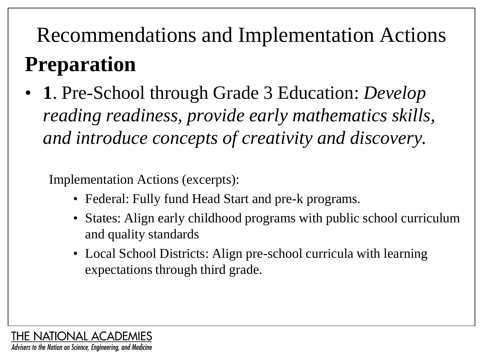## Recommendations and Implementation Actions **Preparation**

• **1**. Pre-School through Grade 3 Education: *Develop reading readiness, provide early mathematics skills, and introduce concepts of creativity and discovery.* 

- Federal: Fully fund Head Start and pre-k programs.
- States: Align early childhood programs with public school curriculum and quality standards
- Local School Districts: Align pre-school curricula with learning expectations through third grade.

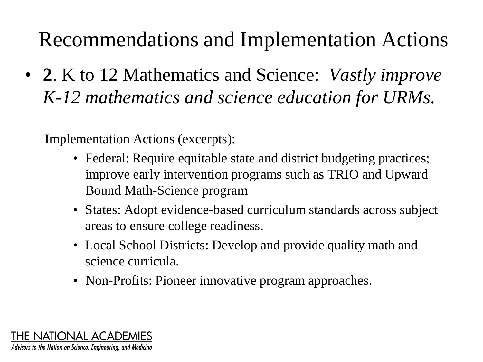• **2**. K to 12 Mathematics and Science: *Vastly improve K-12 mathematics and science education for URMs.* 

- Federal: Require equitable state and district budgeting practices; improve early intervention programs such as TRIO and Upward Bound Math-Science program
- States: Adopt evidence-based curriculum standards across subject areas to ensure college readiness.
- Local School Districts: Develop and provide quality math and science curricula.
- Non-Profits: Pioneer innovative program approaches.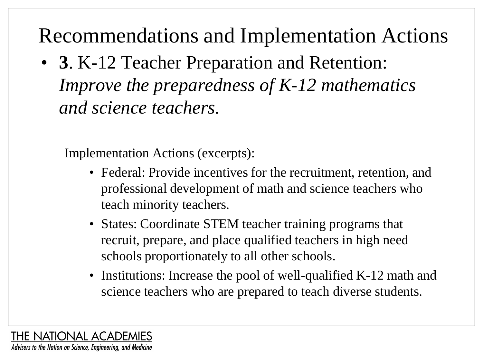• **3**. K-12 Teacher Preparation and Retention: *Improve the preparedness of K-12 mathematics and science teachers.*

- Federal: Provide incentives for the recruitment, retention, and professional development of math and science teachers who teach minority teachers.
- States: Coordinate STEM teacher training programs that recruit, prepare, and place qualified teachers in high need schools proportionately to all other schools.
- Institutions: Increase the pool of well-qualified K-12 math and science teachers who are prepared to teach diverse students.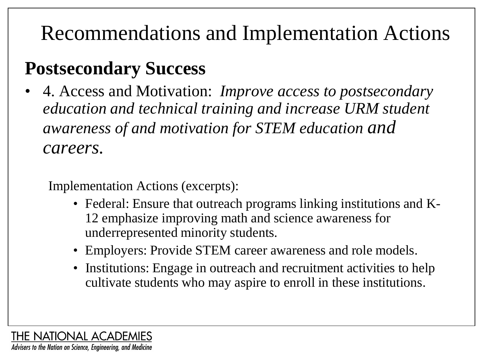#### **Postsecondary Success**

• 4. Access and Motivation: *Improve access to postsecondary education and technical training and increase URM student awareness of and motivation for STEM education and careers.*

- Federal: Ensure that outreach programs linking institutions and K-12 emphasize improving math and science awareness for underrepresented minority students.
- Employers: Provide STEM career awareness and role models.
- Institutions: Engage in outreach and recruitment activities to help cultivate students who may aspire to enroll in these institutions.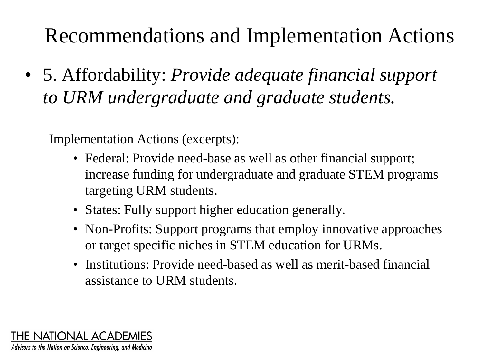• 5. Affordability: *Provide adequate financial support to URM undergraduate and graduate students.*

- Federal: Provide need-base as well as other financial support; increase funding for undergraduate and graduate STEM programs targeting URM students.
- States: Fully support higher education generally.
- Non-Profits: Support programs that employ innovative approaches or target specific niches in STEM education for URMs.
- Institutions: Provide need-based as well as merit-based financial assistance to URM students.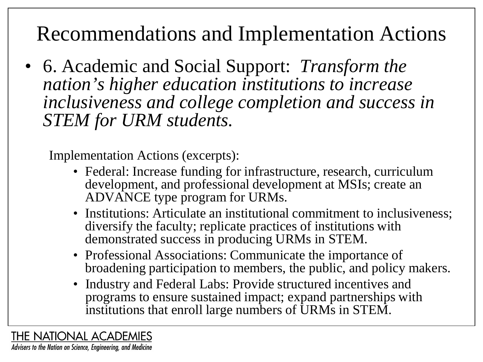• 6. Academic and Social Support: *Transform the nation's higher education institutions to increase inclusiveness and college completion and success in STEM for URM students.*

Implementation Actions (excerpts):

- Federal: Increase funding for infrastructure, research, curriculum development, and professional development at MSIs; create an ADVANCE type program for URMs.
- Institutions: Articulate an institutional commitment to inclusiveness; diversify the faculty; replicate practices of institutions with demonstrated success in producing URMs in STEM.
- Professional Associations: Communicate the importance of broadening participation to members, the public, and policy makers.
- Industry and Federal Labs: Provide structured incentives and programs to ensure sustained impact; expand partnerships with institutions that enroll large numbers of URMs in STEM.

**THE NATIONAL ACADEMIES** Advisers to the Nation on Science, Engineering, and Medicine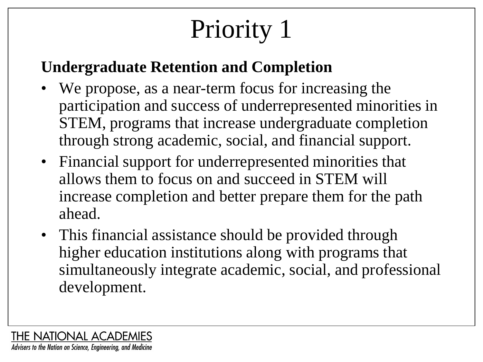# Priority 1

#### **Undergraduate Retention and Completion**

- We propose, as a near-term focus for increasing the participation and success of underrepresented minorities in STEM, programs that increase undergraduate completion through strong academic, social, and financial support.
- Financial support for underrepresented minorities that allows them to focus on and succeed in STEM will increase completion and better prepare them for the path ahead.
- This financial assistance should be provided through higher education institutions along with programs that simultaneously integrate academic, social, and professional development.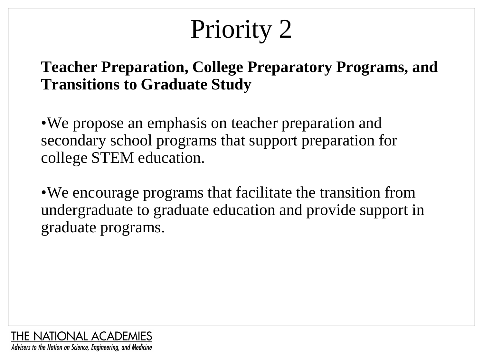# Priority 2

#### **Teacher Preparation, College Preparatory Programs, and Transitions to Graduate Study**

•We propose an emphasis on teacher preparation and secondary school programs that support preparation for college STEM education.

•We encourage programs that facilitate the transition from undergraduate to graduate education and provide support in graduate programs.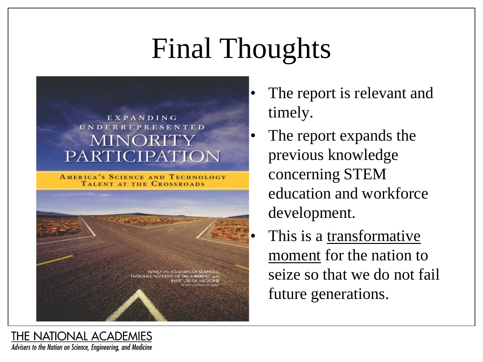# Final Thoughts



**AMERICA'S SCIENCE AND TECHNOLOGY** TALENT AT THE CROSSROADS



- The report is relevant and timely.
- The report expands the previous knowledge concerning STEM education and workforce development.
	- This is a transformative moment for the nation to seize so that we do not fail future generations.